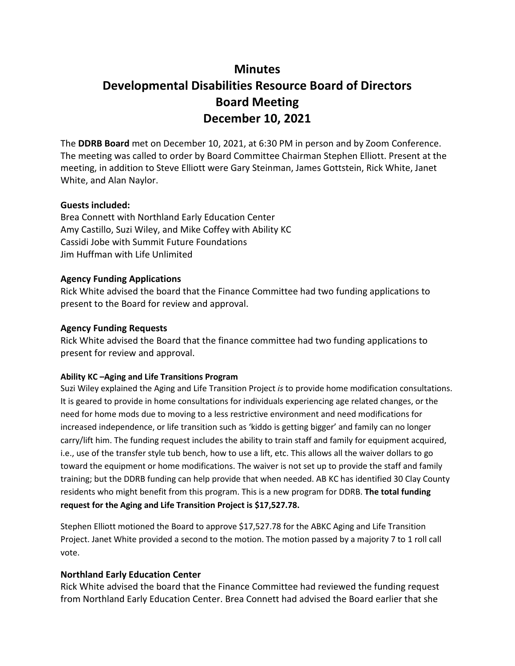# **Minutes Developmental Disabilities Resource Board of Directors Board Meeting December 10, 2021**

The **DDRB Board** met on December 10, 2021, at 6:30 PM in person and by Zoom Conference. The meeting was called to order by Board Committee Chairman Stephen Elliott. Present at the meeting, in addition to Steve Elliott were Gary Steinman, James Gottstein, Rick White, Janet White, and Alan Naylor.

# **Guests included:**

Brea Connett with Northland Early Education Center Amy Castillo, Suzi Wiley, and Mike Coffey with Ability KC Cassidi Jobe with Summit Future Foundations Jim Huffman with Life Unlimited

### **Agency Funding Applications**

Rick White advised the board that the Finance Committee had two funding applications to present to the Board for review and approval.

## **Agency Funding Requests**

Rick White advised the Board that the finance committee had two funding applications to present for review and approval.

#### **Ability KC –Aging and Life Transitions Program**

Suzi Wiley explained the Aging and Life Transition Project *is* to provide home modification consultations. It is geared to provide in home consultations for individuals experiencing age related changes, or the need for home mods due to moving to a less restrictive environment and need modifications for increased independence, or life transition such as 'kiddo is getting bigger' and family can no longer carry/lift him. The funding request includes the ability to train staff and family for equipment acquired, i.e., use of the transfer style tub bench, how to use a lift, etc. This allows all the waiver dollars to go toward the equipment or home modifications. The waiver is not set up to provide the staff and family training; but the DDRB funding can help provide that when needed. AB KC has identified 30 Clay County residents who might benefit from this program. This is a new program for DDRB. **The total funding request for the Aging and Life Transition Project is \$17,527.78.**

Stephen Elliott motioned the Board to approve \$17,527.78 for the ABKC Aging and Life Transition Project. Janet White provided a second to the motion. The motion passed by a majority 7 to 1 roll call vote.

# **Northland Early Education Center**

Rick White advised the board that the Finance Committee had reviewed the funding request from Northland Early Education Center. Brea Connett had advised the Board earlier that she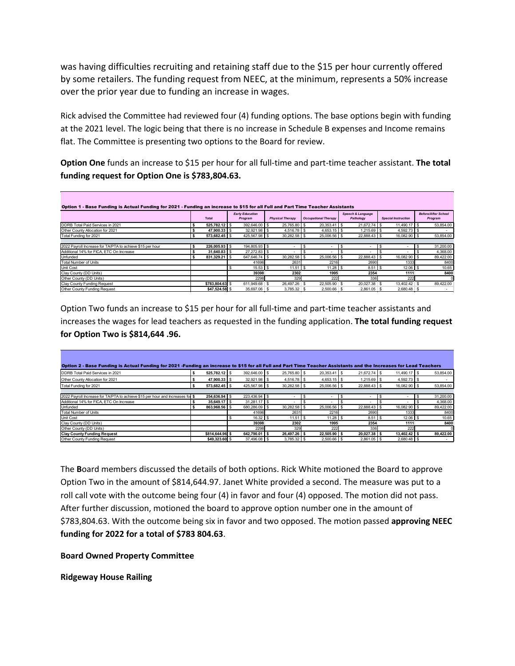was having difficulties recruiting and retaining staff due to the \$15 per hour currently offered by some retailers. The funding request from NEEC, at the minimum, represents a 50% increase over the prior year due to funding an increase in wages.

Rick advised the Committee had reviewed four (4) funding options. The base options begin with funding at the 2021 level. The logic being that there is no increase in Schedule B expenses and Income remains flat. The Committee is presenting two options to the Board for review.

**Option One** funds an increase to \$15 per hour for all full-time and part-time teacher assistant. **The total funding request for Option One is \$783,804.63.**

| Option 1 - Base Funding is Actual Funding for 2021 - Funding an increase to \$15 for all Full and Part Time Teacher Assistants |      |                 |                                   |                         |                             |                                           |                            |                                       |  |  |  |  |  |
|--------------------------------------------------------------------------------------------------------------------------------|------|-----------------|-----------------------------------|-------------------------|-----------------------------|-------------------------------------------|----------------------------|---------------------------------------|--|--|--|--|--|
|                                                                                                                                |      | Total           | <b>Early Education</b><br>Program | <b>Physical Therapy</b> | <b>Occupational Therapy</b> | <b>Speech &amp; Language</b><br>Pathology | <b>Special Instruction</b> | <b>Before/After School</b><br>Program |  |  |  |  |  |
| DDRB Total Paid Services in 2021                                                                                               |      | 525.782.12 \$   | 392,646,00 \$                     | 25,765,80 \$            | $20.353.41$ \$              | 21.672.74 \$                              | 11.490.17 \ \$             | 53.854.00                             |  |  |  |  |  |
| Other County Allocation for 2021                                                                                               |      | 47.900.33 S     | 32.921.98 \$                      | 4.516.78 \$             | $4.653.15$ \$               | $1.215.69$ \$                             | $4.592.73$ \$              |                                       |  |  |  |  |  |
| Total Funding for 2021                                                                                                         | - 25 | 573,682.45 \$   | 425,567.98 \$                     | $30,282.58$ \$          | 25,006.56 \$                | 22,888.43 \$                              | 16,082.90 \$               | 53,854.00                             |  |  |  |  |  |
|                                                                                                                                |      |                 |                                   |                         |                             |                                           |                            |                                       |  |  |  |  |  |
| 2022 Payroll Increase for TA/PTA to achieve \$15 per hour                                                                      |      | 226.005.93 \$   | 194.805.93 \$                     |                         | $\overline{\phantom{a}}$    | -35                                       |                            | 31,200.00                             |  |  |  |  |  |
| Additional 14% for FICA, ETC On Increase                                                                                       |      | 31.640.83 S     | 27,272.83 \$                      | ۰                       | $\sim$                      |                                           |                            | 4,368.00                              |  |  |  |  |  |
| <b>Unfunded</b>                                                                                                                |      | 831.329.21 \$   | 647,646.74 \$                     | $30,282.58$ \$          | 25,006.56 \$                | 22,888.43 \$                              | 16,082.90                  | 89,422.00                             |  |  |  |  |  |
| Total Number of Units                                                                                                          |      |                 | 41696                             | 2631                    | 2216                        | 2690                                      | 1333                       | 8400                                  |  |  |  |  |  |
| <b>Unit Cost</b>                                                                                                               |      |                 | $15.53$ \$                        | 11.51                   | $\sqrt{3}$                  | 8.51                                      | 12.06                      | 10.65                                 |  |  |  |  |  |
| Clay County (DD Units)                                                                                                         |      |                 | 39398                             | 2302                    | 1995                        | 2354                                      | 1111                       | 8400                                  |  |  |  |  |  |
| Other County (DD Units)                                                                                                        |      |                 | 2298                              | 329                     | 222                         | 336                                       | 222                        |                                       |  |  |  |  |  |
| Clay County Funding Request                                                                                                    |      | \$783,804.63 \$ | 611.949.68 \$                     | 26.497.26               | 22,505,90 \$                | 20.027.38 \$                              | 13.402.42 \$               | 89.422.00                             |  |  |  |  |  |
| <b>Other County Funding Request</b>                                                                                            |      | \$47.524.58 \$  | 35,697,06 \$                      | $3.785.32$ \$           | 2.500.66 \$                 | $2.861.05$ \$                             | $2.680.48$ \$              | $\overline{\phantom{a}}$              |  |  |  |  |  |

Option Two funds an increase to \$15 per hour for all full-time and part-time teacher assistants and increases the wages for lead teachers as requested in the funding application. **The total funding request for Option Two is \$814,644 .96.**

| Option 2 - Base Funding is Actual Funding for 2021 -Funding an increase to \$15 for all Full and Part Time Teacher Assistants and the Increases for Lead Teachers |                 |                 |               |               |                |               |                |
|-------------------------------------------------------------------------------------------------------------------------------------------------------------------|-----------------|-----------------|---------------|---------------|----------------|---------------|----------------|
| <b>IDDRB Total Paid Services in 2021</b>                                                                                                                          | 525.782.12 \$   | 392,646,00 \$   | 25,765,80 \$  | $20.353.41$ S | 21.672.74 \$   | $11.490.17$ S | 53,854.00      |
| Other County Allocation for 2021                                                                                                                                  | 47.900.33 \$    | 32.921.98 \$    | $4.516.78$ \$ | 4,653.15 \$   | $1.215.69$ S   | $4.592.73$ \$ |                |
| Total Funding for 2021                                                                                                                                            | 573,682.45 \$   | 425,567.98 \$   | 30.282.58 \$  | 25,006.56 \$  | 22,888.43 \$   | 16.082.90 \$  | 53,854.00      |
|                                                                                                                                                                   |                 |                 |               |               |                |               |                |
| 2022 Payroll Increase for TA/PTA to achieve \$15 per hour and Increases for \$                                                                                    | 254.636.94 \$   | 223.436.94 \$   |               | \$.           |                |               | 31.200.00<br>S |
| Additional 14% for FICA, ETC On Increase                                                                                                                          | 35.649.17 S     | $31.281.17$ S   |               |               |                |               | 4.368.00       |
| Unfunded                                                                                                                                                          | 863.968.56      | 680.286.09 \$   | 30.282.58     | 25,006.56 \$  | 22,888.43 \ \$ | 16.082.90     | 89.422.00      |
| Total Number of Units                                                                                                                                             |                 | 41696           | 2631          | 2216          | 2690           | 1333          | 8400           |
| <b>Unit Cost</b>                                                                                                                                                  |                 |                 | 11.51         |               | $8.51$ S       | 12.06         | 10.65          |
| Clay County (DD Units)                                                                                                                                            |                 | 39398           | 2302          | 1995          | 2354           | 1111          | 8400           |
| Other County (DD Units)                                                                                                                                           |                 | 2298            | 329           | 222           | 336            | 222           |                |
| <b>Clay County Funding Request</b>                                                                                                                                | \$814,644.96 \$ | 642.790.01   \$ | 26.497.26     | 22.505.90     | 20.027.38 \$   | 13.402.42     | 89.422.00      |
| Other County Funding Request                                                                                                                                      | \$49,323,60 \$  | 37,496.08 \$    | 3,785.32      | 2,500.66 \$   | $2.861.05$ S   | $2.680.48$ S  |                |

The **B**oard members discussed the details of both options. Rick White motioned the Board to approve Option Two in the amount of \$814,644.97. Janet White provided a second. The measure was put to a roll call vote with the outcome being four (4) in favor and four (4) opposed. The motion did not pass. After further discussion, motioned the board to approve option number one in the amount of \$783,804.63. With the outcome being six in favor and two opposed. The motion passed **approving NEEC funding for 2022 for a total of \$783 804.63**.

#### **Board Owned Property Committee**

**Ridgeway House Railing**